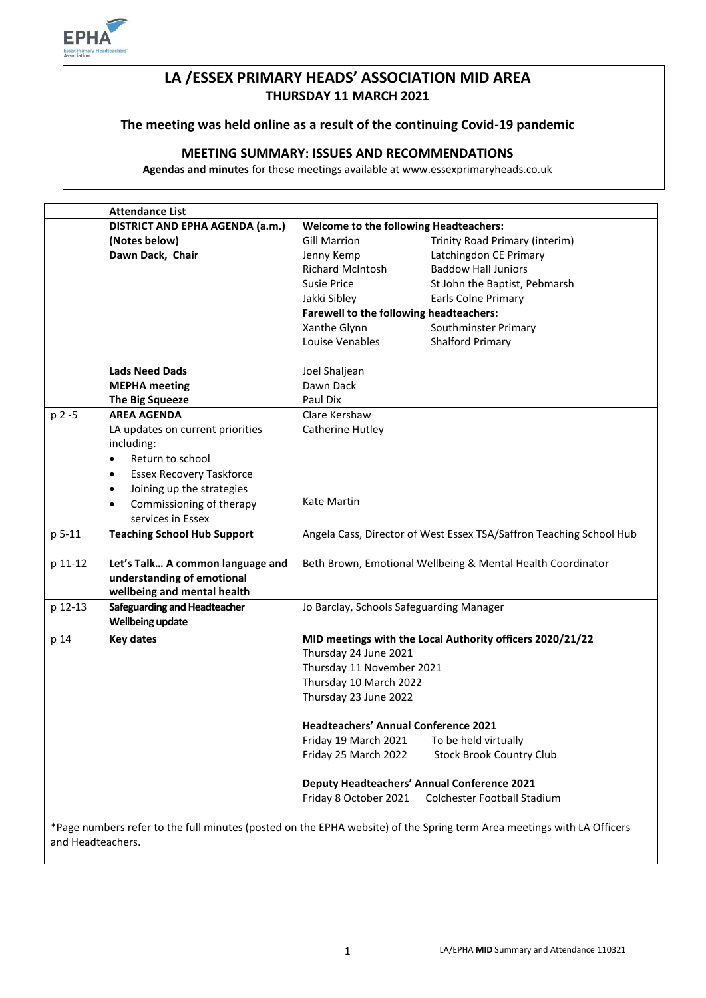

# **LA /ESSEX PRIMARY HEADS' ASSOCIATION MID AREA THURSDAY 11 MARCH 2021**

# **The meeting was held online as a result of the continuing Covid-19 pandemic**

## **MEETING SUMMARY: ISSUES AND RECOMMENDATIONS**

**Agendas and minutes** for these meetings available at www.essexprimaryheads.co.uk

|                   | <b>Attendance List</b>                                             |                                                                     |                                                                                                                        |
|-------------------|--------------------------------------------------------------------|---------------------------------------------------------------------|------------------------------------------------------------------------------------------------------------------------|
|                   | <b>DISTRICT AND EPHA AGENDA (a.m.)</b>                             | <b>Welcome to the following Headteachers:</b>                       |                                                                                                                        |
|                   | (Notes below)                                                      | <b>Gill Marrion</b>                                                 | Trinity Road Primary (interim)                                                                                         |
|                   | Dawn Dack, Chair                                                   | Jenny Kemp                                                          | Latchingdon CE Primary                                                                                                 |
|                   |                                                                    | <b>Richard McIntosh</b>                                             | <b>Baddow Hall Juniors</b>                                                                                             |
|                   |                                                                    | Susie Price                                                         | St John the Baptist, Pebmarsh                                                                                          |
|                   |                                                                    | Jakki Sibley                                                        | Earls Colne Primary                                                                                                    |
|                   |                                                                    | Farewell to the following headteachers:                             |                                                                                                                        |
|                   |                                                                    | Xanthe Glynn                                                        | Southminster Primary                                                                                                   |
|                   |                                                                    | Louise Venables                                                     | Shalford Primary                                                                                                       |
|                   |                                                                    |                                                                     |                                                                                                                        |
|                   | <b>Lads Need Dads</b>                                              | Joel Shaljean                                                       |                                                                                                                        |
|                   | <b>MEPHA</b> meeting                                               | Dawn Dack                                                           |                                                                                                                        |
|                   | <b>The Big Squeeze</b>                                             | Paul Dix                                                            |                                                                                                                        |
| p 2 -5            | <b>AREA AGENDA</b>                                                 | Clare Kershaw                                                       |                                                                                                                        |
|                   | LA updates on current priorities                                   | Catherine Hutley                                                    |                                                                                                                        |
|                   | including:                                                         |                                                                     |                                                                                                                        |
|                   | Return to school<br>٠                                              |                                                                     |                                                                                                                        |
|                   | <b>Essex Recovery Taskforce</b><br>$\bullet$                       |                                                                     |                                                                                                                        |
|                   | Joining up the strategies<br>$\bullet$                             |                                                                     |                                                                                                                        |
|                   | Commissioning of therapy<br>$\bullet$                              | Kate Martin                                                         |                                                                                                                        |
|                   | services in Essex                                                  |                                                                     |                                                                                                                        |
| p 5-11            | <b>Teaching School Hub Support</b>                                 | Angela Cass, Director of West Essex TSA/Saffron Teaching School Hub |                                                                                                                        |
|                   |                                                                    |                                                                     |                                                                                                                        |
| p 11-12           | Let's Talk A common language and                                   | Beth Brown, Emotional Wellbeing & Mental Health Coordinator         |                                                                                                                        |
|                   | understanding of emotional                                         |                                                                     |                                                                                                                        |
|                   | wellbeing and mental health<br><b>Safeguarding and Headteacher</b> |                                                                     |                                                                                                                        |
| p 12-13           | <b>Wellbeing update</b>                                            | Jo Barclay, Schools Safeguarding Manager                            |                                                                                                                        |
|                   |                                                                    |                                                                     |                                                                                                                        |
| p 14              | <b>Key dates</b>                                                   | MID meetings with the Local Authority officers 2020/21/22           |                                                                                                                        |
|                   |                                                                    | Thursday 24 June 2021                                               |                                                                                                                        |
|                   |                                                                    | Thursday 11 November 2021<br>Thursday 10 March 2022                 |                                                                                                                        |
|                   |                                                                    |                                                                     |                                                                                                                        |
|                   |                                                                    | Thursday 23 June 2022                                               |                                                                                                                        |
|                   |                                                                    | <b>Headteachers' Annual Conference 2021</b>                         |                                                                                                                        |
|                   |                                                                    | Friday 19 March 2021                                                | To be held virtually                                                                                                   |
|                   |                                                                    | Friday 25 March 2022                                                | <b>Stock Brook Country Club</b>                                                                                        |
|                   |                                                                    | <b>Deputy Headteachers' Annual Conference 2021</b>                  |                                                                                                                        |
|                   |                                                                    | Friday 8 October 2021                                               | Colchester Football Stadium                                                                                            |
|                   |                                                                    |                                                                     |                                                                                                                        |
|                   |                                                                    |                                                                     | *Page numbers refer to the full minutes (posted on the EPHA website) of the Spring term Area meetings with LA Officers |
| and Headteachers. |                                                                    |                                                                     |                                                                                                                        |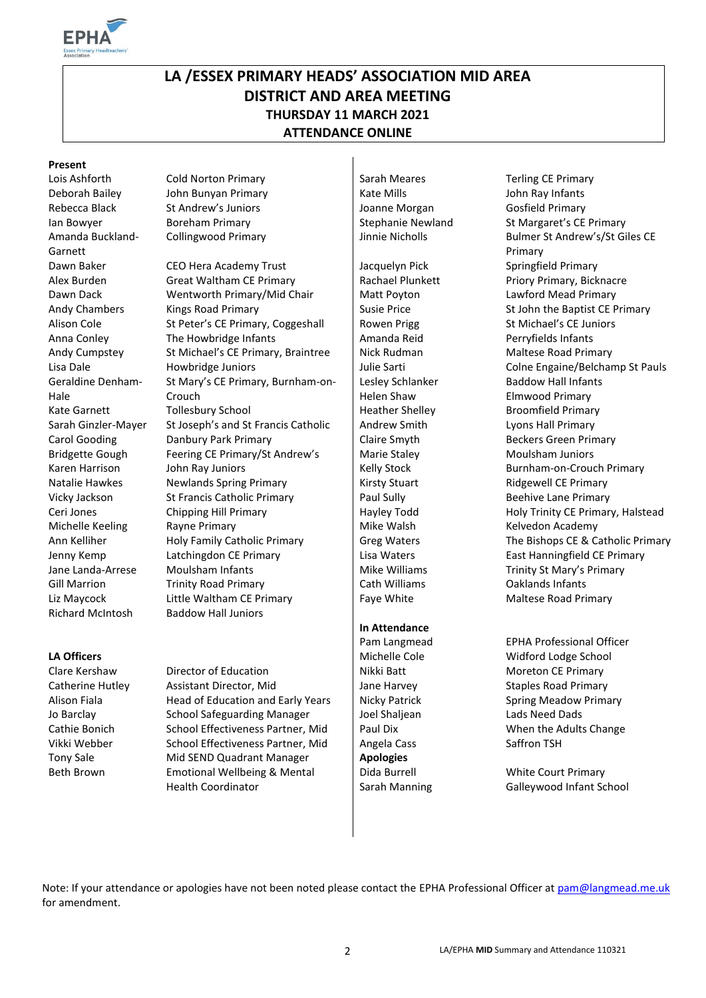

# **LA /ESSEX PRIMARY HEADS' ASSOCIATION MID AREA DISTRICT AND AREA MEETING THURSDAY 11 MARCH 2021 ATTENDANCE ONLINE**

### **Present**

Amanda Buckland-Garnett Geraldine Denham-Hale Richard McIntosh Baddow Hall Juniors

Jo Barclay School Safeguarding Manager Joel Shaljean Lads Need Dads Vikki Webber School Effectiveness Partner, Mid | Angela Cass Saffron TSH Tony Sale Mid SEND Quadrant Manager **Apologies** Beth Brown Emotional Wellbeing & Mental

Lois Ashforth Cold Norton Primary Sarah Meares Terling CE Primary Deborah Bailey John Bunyan Primary Kate Mills John Ray Infants Rebecca Black St Andrew's Juniors Joanne Morgan Gosfield Primary

Dawn Baker CEO Hera Academy Trust Jacquelyn Pick Springfield Primary Alex Burden Great Waltham CE Primary Rachael Plunkett Priory Primary, Bicknacre Dawn Dack Wentworth Primary/Mid Chair | Matt Poyton Lawford Mead Primary Andy Chambers Kings Road Primary Susie Price St John the Baptist CE Primary Alison Cole St Peter's CE Primary, Coggeshall | Rowen Prigg St Michael's CE Juniors Anna Conley The Howbridge Infants Amanda Reid Perryfields Infants Andy Cumpstey St Michael's CE Primary, Braintree | Nick Rudman Maltese Road Primary Lisa Dale **Howbridge Juniors** Julie Sarti Colne Engaine/Belchamp St Pauls St Mary's CE Primary, Burnham-on-Crouch Kate Garnett Follesbury School **Heather Shelley Computer Shelley** Broomfield Primary Sarah Ginzler-Mayer St Joseph's and St Francis Catholic | Andrew Smith Lyons Hall Primary Carol Gooding **Danbury Park Primary Claire Smyth** Claire Smyth Beckers Green Primary Bridgette Gough Feering CE Primary/St Andrew's Marie Staley Moulsham Juniors Karen Harrison John Ray Juniors | Kelly Stock Burnham-on-Crouch Primary Natalie Hawkes Newlands Spring Primary **Natalie Hawkes** Newlands Spring Primary **Kirsty Stuart** Ridgewell CE Primary Vicky Jackson St Francis Catholic Primary Paul Sully Beehive Lane Primary Paul Sully Beehive Lane Primary Ceri Jones Chipping Hill Primary Hayley Todd Holy Trinity CE Primary, Halstead Michelle Keeling Rayne Primary **Michelle Keeling** Rayne Primary **Michelle Keeling** Rayne Primary Ann Kelliher Holy Family Catholic Primary Greg Waters The Bishops CE & Catholic Primary Jenny Kemp Latchingdon CE Primary Lisa Waters East Hanningfield CE Primary Jane Landa-Arrese Moulsham Infants Manus Allen Mike Williams Trinity St Mary's Primary Gill Marrion **Trinity Road Primary** Cath Williams Caklands Infants Liz Maycock Little Waltham CE Primary The Maltese Road Primary Primary Review And Maltese Road Primary

Health Coordinator

Lesley Schlanker Helen Shaw

### **In Attendance**

Dida Burrell Sarah Manning

Ian Bowyer **Boreham Primary Boreham Primary** Stephanie Newland St Margaret's CE Primary Collingwood Primary **Victor Collingwood Primary** Jinnie Nicholls Bulmer St Andrew's/St Giles CE Primary Baddow Hall Infants Elmwood Primary

Pam Langmead EPHA Professional Officer **LA Officers LA Officers** Michelle Cole **Michelle Cole** Michelle Cole **Michelle Cole** Midford Lodge School Clare Kershaw Director of Education Nikki Batt Nikki Batt Moreton CE Primary Catherine Hutley Assistant Director, Mid Jane Harvey Staples Road Primary Alison Fiala **Head of Education and Early Years** Nicky Patrick Spring Meadow Primary Cathie Bonich School Effectiveness Partner, Mid | Paul Dix When the Adults Change

> White Court Primary Galleywood Infant School

Note: If your attendance or apologies have not been noted please contact the EPHA Professional Officer at [pam@langmead.me.uk](mailto:pam@langmead.me.uk) for amendment.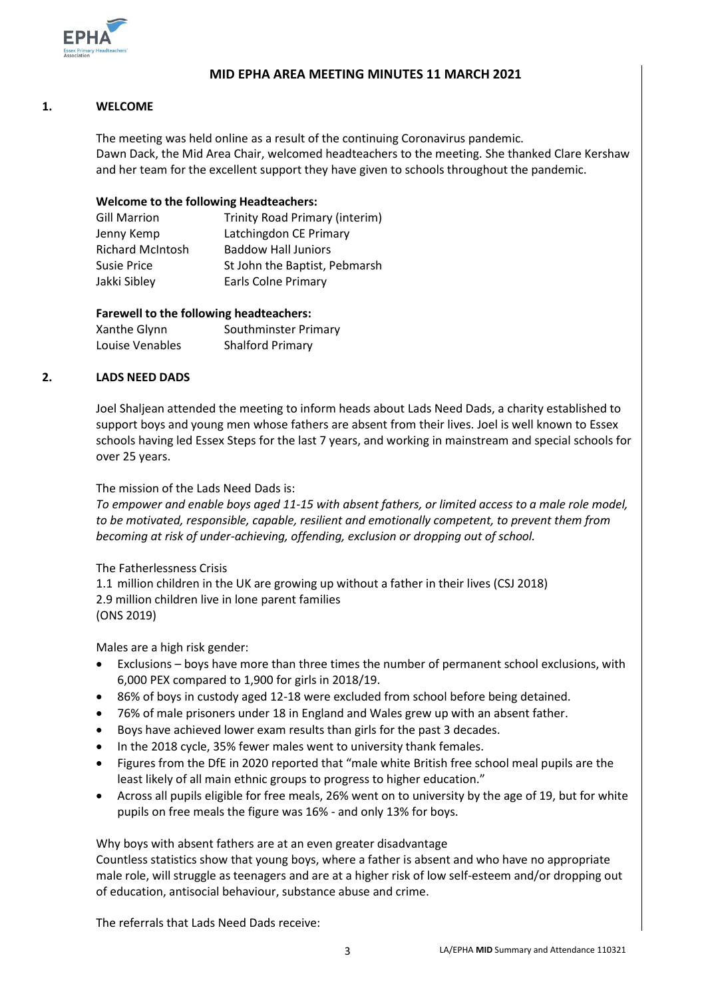

### **MID EPHA AREA MEETING MINUTES 11 MARCH 2021**

### **1. WELCOME**

The meeting was held online as a result of the continuing Coronavirus pandemic. Dawn Dack, the Mid Area Chair, welcomed headteachers to the meeting. She thanked Clare Kershaw and her team for the excellent support they have given to schools throughout the pandemic.

### **Welcome to the following Headteachers:**

| <b>Gill Marrion</b>     | Trinity Road Primary (interim) |
|-------------------------|--------------------------------|
| Jenny Kemp              | Latchingdon CE Primary         |
| <b>Richard McIntosh</b> | <b>Baddow Hall Juniors</b>     |
| <b>Susie Price</b>      | St John the Baptist, Pebmarsh  |
| Jakki Sibley            | <b>Earls Colne Primary</b>     |

### **Farewell to the following headteachers:**

| Xanthe Glynn    | Southminster Primary    |
|-----------------|-------------------------|
| Louise Venables | <b>Shalford Primary</b> |

### **2. LADS NEED DADS**

Joel Shaljean attended the meeting to inform heads about Lads Need Dads, a charity established to support boys and young men whose fathers are absent from their lives. Joel is well known to Essex schools having led Essex Steps for the last 7 years, and working in mainstream and special schools for over 25 years.

### The mission of the Lads Need Dads is:

*To empower and enable boys aged 11-15 with absent fathers, or limited access to a male role model, to be motivated, responsible, capable, resilient and emotionally competent, to prevent them from becoming at risk of under-achieving, offending, exclusion or dropping out of school.*

### The Fatherlessness Crisis

1.1 million children in the UK are growing up without a father in their lives (CSJ 2018) 2.9 million children live in lone parent families (ONS 2019)

Males are a high risk gender:

- Exclusions boys have more than three times the number of permanent school exclusions, with 6,000 PEX compared to 1,900 for girls in 2018/19.
- 86% of boys in custody aged 12-18 were excluded from school before being detained.
- 76% of male prisoners under 18 in England and Wales grew up with an absent father.
- Boys have achieved lower exam results than girls for the past 3 decades.
- In the 2018 cycle, 35% fewer males went to university thank females.
- Figures from the DfE in 2020 reported that "male white British free school meal pupils are the least likely of all main ethnic groups to progress to higher education."
- Across all pupils eligible for free meals, 26% went on to university by the age of 19, but for white pupils on free meals the figure was 16% - and only 13% for boys.

Why boys with absent fathers are at an even greater disadvantage

Countless statistics show that young boys, where a father is absent and who have no appropriate male role, will struggle as teenagers and are at a higher risk of low self-esteem and/or dropping out of education, antisocial behaviour, substance abuse and crime.

The referrals that Lads Need Dads receive: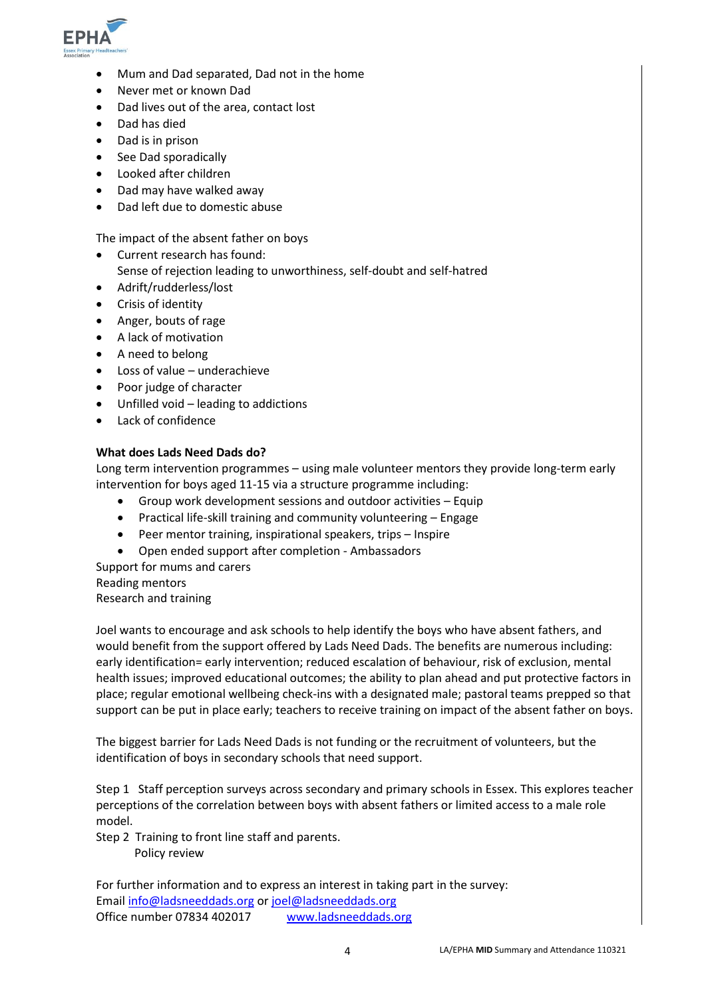

- Mum and Dad separated, Dad not in the home
- Never met or known Dad
- Dad lives out of the area, contact lost
- Dad has died
- Dad is in prison
- See Dad sporadically
- Looked after children
- Dad may have walked away
- Dad left due to domestic abuse

The impact of the absent father on boys

- Current research has found: Sense of rejection leading to unworthiness, self-doubt and self-hatred
- Adrift/rudderless/lost
- Crisis of identity
- Anger, bouts of rage
- A lack of motivation
- A need to belong
- Loss of value underachieve
- Poor judge of character
- Unfilled void leading to addictions
- Lack of confidence

### **What does Lads Need Dads do?**

Long term intervention programmes – using male volunteer mentors they provide long-term early intervention for boys aged 11-15 via a structure programme including:

- Group work development sessions and outdoor activities Equip
- Practical life-skill training and community volunteering Engage
- Peer mentor training, inspirational speakers, trips Inspire
- Open ended support after completion Ambassadors

Support for mums and carers Reading mentors Research and training

Joel wants to encourage and ask schools to help identify the boys who have absent fathers, and would benefit from the support offered by Lads Need Dads. The benefits are numerous including: early identification= early intervention; reduced escalation of behaviour, risk of exclusion, mental health issues; improved educational outcomes; the ability to plan ahead and put protective factors in place; regular emotional wellbeing check-ins with a designated male; pastoral teams prepped so that support can be put in place early; teachers to receive training on impact of the absent father on boys.

The biggest barrier for Lads Need Dads is not funding or the recruitment of volunteers, but the identification of boys in secondary schools that need support.

Step 1 Staff perception surveys across secondary and primary schools in Essex. This explores teacher perceptions of the correlation between boys with absent fathers or limited access to a male role model.

Step 2 Training to front line staff and parents. Policy review

For further information and to express an interest in taking part in the survey: Email [info@ladsneeddads.org](mailto:info@ladsneeddads.org) or [joel@ladsneeddads.org](mailto:joel@ladsneeddads.org) Office number 07834 402017 [www.ladsneeddads.org](http://www.ladsneeddads.org/)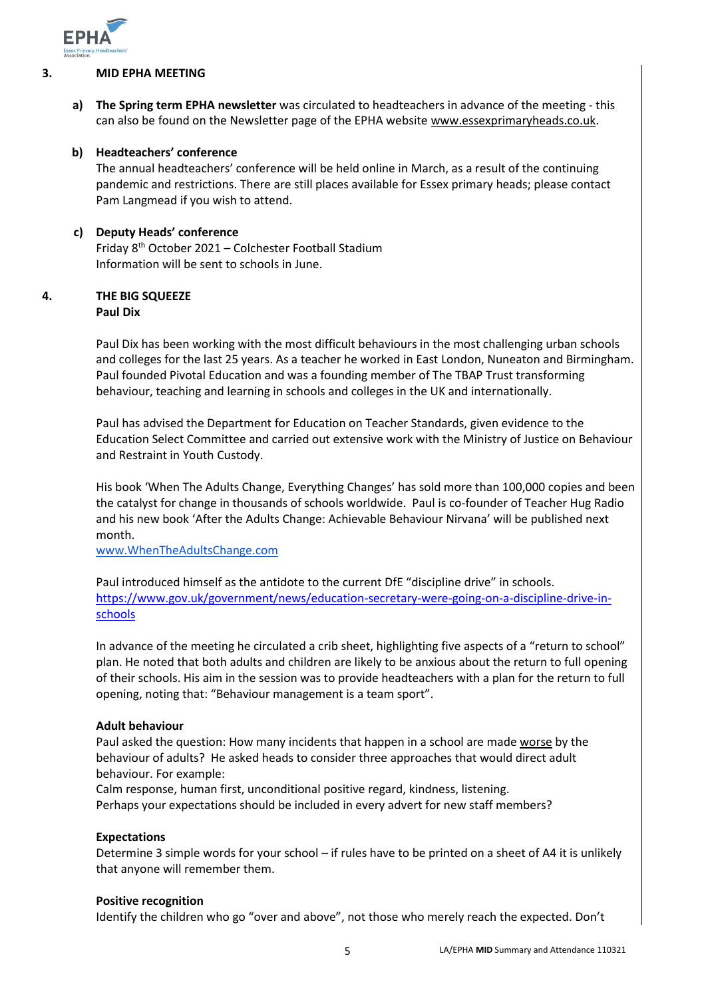

### **3. MID EPHA MEETING**

**a) The Spring term EPHA newsletter** was circulated to headteachers in advance of the meeting - this can also be found on the Newsletter page of the EPHA website [www.essexprimaryheads.co.uk.](http://www.essexprimaryheads.co.uk/)

### **b) Headteachers' conference**

The annual headteachers' conference will be held online in March, as a result of the continuing pandemic and restrictions. There are still places available for Essex primary heads; please contact Pam Langmead if you wish to attend.

### **c) Deputy Heads' conference**

Friday 8th October 2021 – Colchester Football Stadium Information will be sent to schools in June.

### **4. THE BIG SQUEEZE Paul Dix**

Paul Dix has been working with the most difficult behaviours in the most challenging urban schools and colleges for the last 25 years. As a teacher he worked in East London, Nuneaton and Birmingham. Paul founded Pivotal Education and was a founding member of The TBAP Trust transforming behaviour, teaching and learning in schools and colleges in the UK and internationally.

Paul has advised the Department for Education on Teacher Standards, given evidence to the Education Select Committee and carried out extensive work with the Ministry of Justice on Behaviour and Restraint in Youth Custody.

His book 'When The Adults Change, Everything Changes' has sold more than 100,000 copies and been the catalyst for change in thousands of schools worldwide. Paul is co-founder of Teacher Hug Radio and his new book 'After the Adults Change: Achievable Behaviour Nirvana' will be published next month.

[www.WhenTheAdultsChange.com](http://www.whentheadultschange.com/)

Paul introduced himself as the antidote to the current DfE "discipline drive" in schools. [https://www.gov.uk/government/news/education-secretary-were-going-on-a-discipline-drive-in](https://www.gov.uk/government/news/education-secretary-were-going-on-a-discipline-drive-in-schools)[schools](https://www.gov.uk/government/news/education-secretary-were-going-on-a-discipline-drive-in-schools)

In advance of the meeting he circulated a crib sheet, highlighting five aspects of a "return to school" plan. He noted that both adults and children are likely to be anxious about the return to full opening of their schools. His aim in the session was to provide headteachers with a plan for the return to full opening, noting that: "Behaviour management is a team sport".

### **Adult behaviour**

Paul asked the question: How many incidents that happen in a school are made worse by the behaviour of adults? He asked heads to consider three approaches that would direct adult behaviour. For example:

Calm response, human first, unconditional positive regard, kindness, listening. Perhaps your expectations should be included in every advert for new staff members?

### **Expectations**

Determine 3 simple words for your school – if rules have to be printed on a sheet of A4 it is unlikely that anyone will remember them.

### **Positive recognition**

Identify the children who go "over and above", not those who merely reach the expected. Don't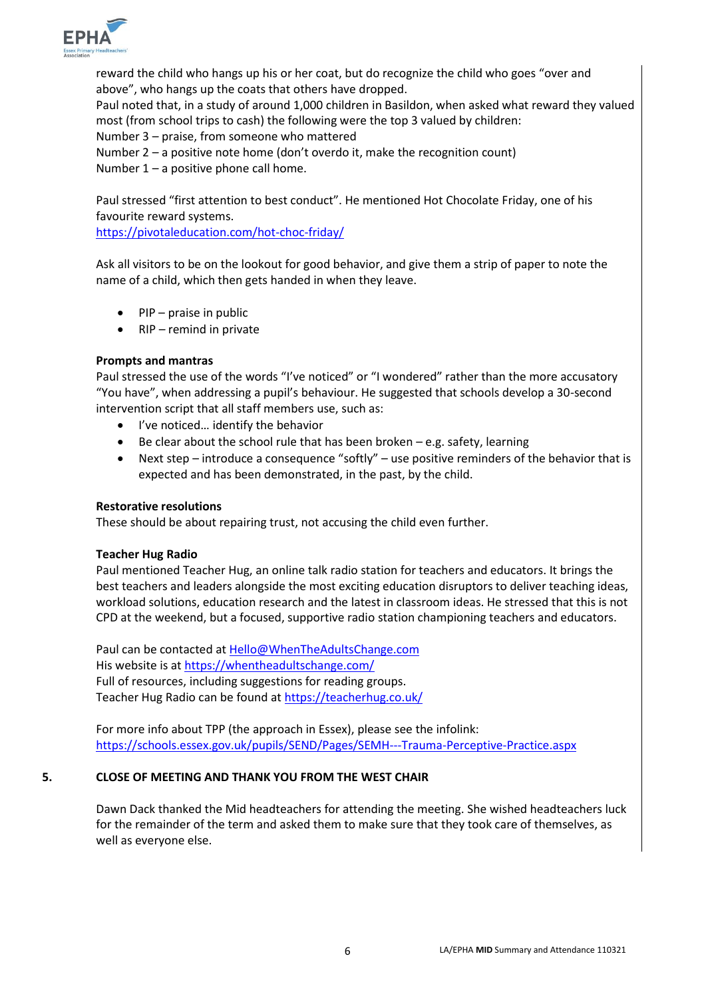

reward the child who hangs up his or her coat, but do recognize the child who goes "over and above", who hangs up the coats that others have dropped. Paul noted that, in a study of around 1,000 children in Basildon, when asked what reward they valued most (from school trips to cash) the following were the top 3 valued by children: Number 3 – praise, from someone who mattered Number 2 – a positive note home (don't overdo it, make the recognition count) Number  $1 - a$  positive phone call home.

Paul stressed "first attention to best conduct". He mentioned Hot Chocolate Friday, one of his favourite reward systems.

<https://pivotaleducation.com/hot-choc-friday/>

Ask all visitors to be on the lookout for good behavior, and give them a strip of paper to note the name of a child, which then gets handed in when they leave.

- PIP praise in public
- RIP remind in private

### **Prompts and mantras**

Paul stressed the use of the words "I've noticed" or "I wondered" rather than the more accusatory "You have", when addressing a pupil's behaviour. He suggested that schools develop a 30-second intervention script that all staff members use, such as:

- I've noticed… identify the behavior
- $\bullet$  Be clear about the school rule that has been broken e.g. safety, learning
- Next step introduce a consequence "softly" use positive reminders of the behavior that is expected and has been demonstrated, in the past, by the child.

### **Restorative resolutions**

These should be about repairing trust, not accusing the child even further.

### **Teacher Hug Radio**

Paul mentioned Teacher Hug, an online talk radio station for teachers and educators. It brings the best teachers and leaders alongside the most exciting education disruptors to deliver teaching ideas, workload solutions, education research and the latest in classroom ideas. He stressed that this is not CPD at the weekend, but a focused, supportive radio station championing teachers and educators.

Paul can be contacted a[t Hello@WhenTheAdultsChange.com](mailto:Hello@WhenTheAdultsChange.com) His website is a[t https://whentheadultschange.com/](https://whentheadultschange.com/) Full of resources, including suggestions for reading groups. Teacher Hug Radio can be found at<https://teacherhug.co.uk/>

For more info about TPP (the approach in Essex), please see the infolink: <https://schools.essex.gov.uk/pupils/SEND/Pages/SEMH---Trauma-Perceptive-Practice.aspx>

### **5. CLOSE OF MEETING AND THANK YOU FROM THE WEST CHAIR**

Dawn Dack thanked the Mid headteachers for attending the meeting. She wished headteachers luck for the remainder of the term and asked them to make sure that they took care of themselves, as well as everyone else.